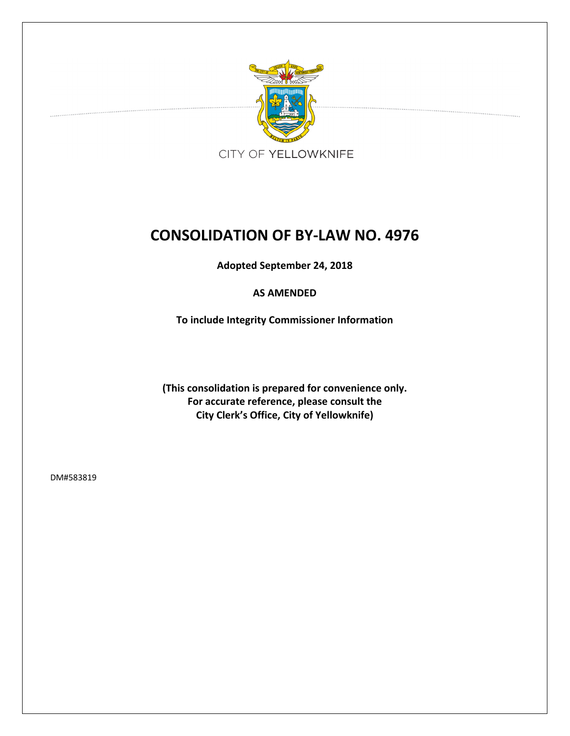

# **CONSOLIDATION OF BY-LAW NO. 4976**

**Adopted September 24, 2018**

## **AS AMENDED**

**To include Integrity Commissioner Information**

**(This consolidation is prepared for convenience only. For accurate reference, please consult the City Clerk's Office, City of Yellowknife)**

DM#583819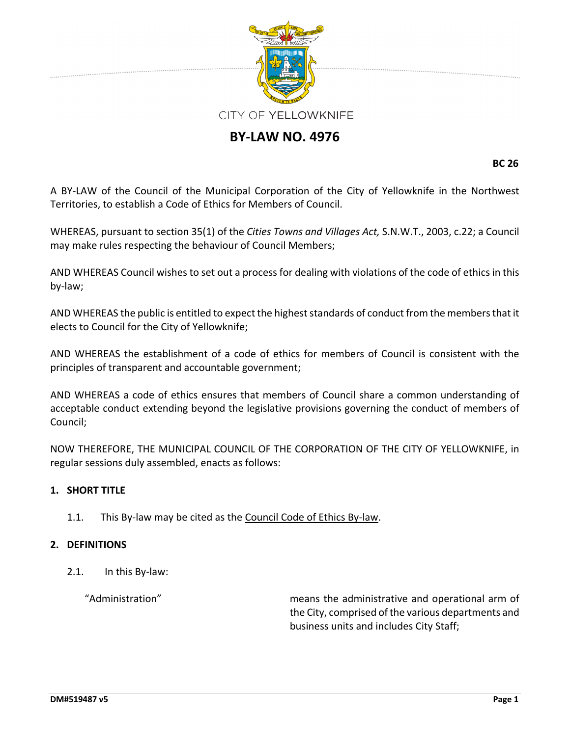

## **BY-LAW NO. 4976**

**BC 26**

A BY-LAW of the Council of the Municipal Corporation of the City of Yellowknife in the Northwest Territories, to establish a Code of Ethics for Members of Council.

WHEREAS, pursuant to section 35(1) of the *Cities Towns and Villages Act,* S.N.W.T., 2003, c.22; a Council may make rules respecting the behaviour of Council Members;

AND WHEREAS Council wishes to set out a process for dealing with violations of the code of ethicsin this by-law;

AND WHEREAS the public is entitled to expect the highest standards of conduct from the members that it elects to Council for the City of Yellowknife;

AND WHEREAS the establishment of a code of ethics for members of Council is consistent with the principles of transparent and accountable government;

AND WHEREAS a code of ethics ensures that members of Council share a common understanding of acceptable conduct extending beyond the legislative provisions governing the conduct of members of Council;

NOW THEREFORE, THE MUNICIPAL COUNCIL OF THE CORPORATION OF THE CITY OF YELLOWKNIFE, in regular sessions duly assembled, enacts as follows:

## **1. SHORT TITLE**

1.1. This By-law may be cited as the Council Code of Ethics By-law.

#### **2. DEFINITIONS**

2.1. In this By-law:

"Administration" means the administrative and operational arm of the City, comprised of the various departments and business units and includes City Staff;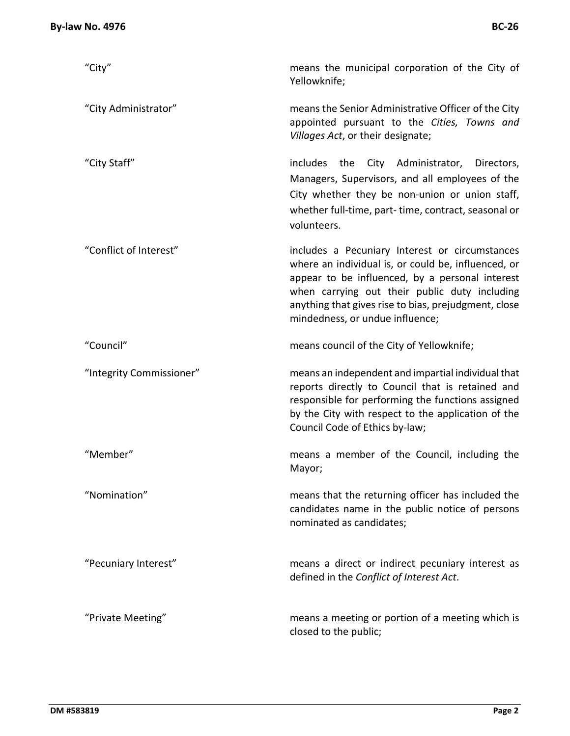| "City"                   | means the municipal corporation of the City of<br>Yellowknife;                                                                                                                                                                                                                                       |  |
|--------------------------|------------------------------------------------------------------------------------------------------------------------------------------------------------------------------------------------------------------------------------------------------------------------------------------------------|--|
| "City Administrator"     | means the Senior Administrative Officer of the City<br>appointed pursuant to the Cities, Towns and<br>Villages Act, or their designate;                                                                                                                                                              |  |
| "City Staff"             | includes the City Administrator, Directors,<br>Managers, Supervisors, and all employees of the<br>City whether they be non-union or union staff,<br>whether full-time, part-time, contract, seasonal or<br>volunteers.                                                                               |  |
| "Conflict of Interest"   | includes a Pecuniary Interest or circumstances<br>where an individual is, or could be, influenced, or<br>appear to be influenced, by a personal interest<br>when carrying out their public duty including<br>anything that gives rise to bias, prejudgment, close<br>mindedness, or undue influence; |  |
| "Council"                | means council of the City of Yellowknife;                                                                                                                                                                                                                                                            |  |
| "Integrity Commissioner" | means an independent and impartial individual that<br>reports directly to Council that is retained and<br>responsible for performing the functions assigned<br>by the City with respect to the application of the<br>Council Code of Ethics by-law;                                                  |  |
| "Member"                 | means a member of the Council, including the<br>Mayor;                                                                                                                                                                                                                                               |  |
| "Nomination"             | means that the returning officer has included the<br>candidates name in the public notice of persons<br>nominated as candidates;                                                                                                                                                                     |  |
| "Pecuniary Interest"     | means a direct or indirect pecuniary interest as<br>defined in the Conflict of Interest Act.                                                                                                                                                                                                         |  |
| "Private Meeting"        | means a meeting or portion of a meeting which is<br>closed to the public;                                                                                                                                                                                                                            |  |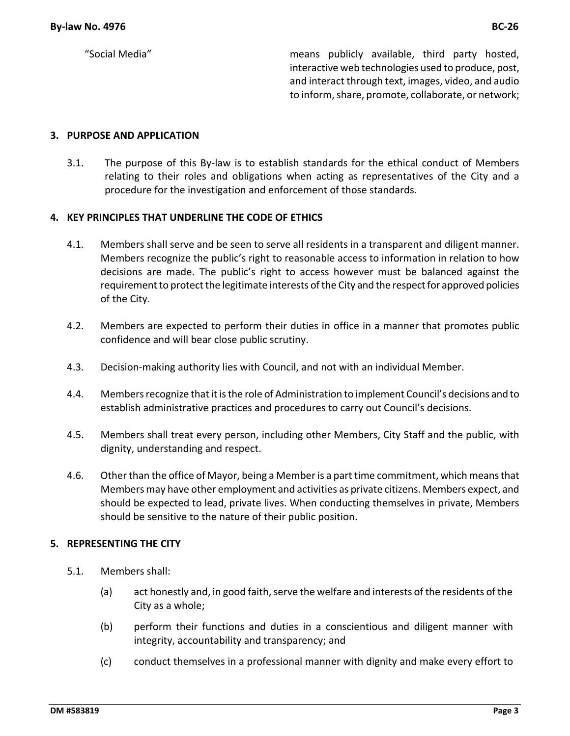"Social Media" means publicly available, third party hosted, interactive web technologies used to produce, post, and interact through text, images, video, and audio to inform, share, promote, collaborate, or network;

#### **3. PURPOSE AND APPLICATION**

3.1. The purpose of this By-law is to establish standards for the ethical conduct of Members relating to their roles and obligations when acting as representatives of the City and a procedure for the investigation and enforcement of those standards.

#### **4. KEY PRINCIPLES THAT UNDERLINE THE CODE OF ETHICS**

- 4.1. Members shall serve and be seen to serve all residents in a transparent and diligent manner. Members recognize the public's right to reasonable access to information in relation to how decisions are made. The public's right to access however must be balanced against the requirement to protect the legitimate interests of the City and the respect for approved policies of the City.
- 4.2. Members are expected to perform their duties in office in a manner that promotes public confidence and will bear close public scrutiny.
- 4.3. Decision-making authority lies with Council, and not with an individual Member.
- 4.4. Members recognize that it is the role of Administration to implement Council's decisions and to establish administrative practices and procedures to carry out Council's decisions.
- 4.5. Members shall treat every person, including other Members, City Staff and the public, with dignity, understanding and respect.
- 4.6. Other than the office of Mayor, being a Member is a part time commitment, which means that Members may have other employment and activities as private citizens. Members expect, and should be expected to lead, private lives. When conducting themselves in private, Members should be sensitive to the nature of their public position.

#### **5. REPRESENTING THE CITY**

- 5.1. Members shall:
	- (a) act honestly and, in good faith, serve the welfare and interests of the residents of the City as a whole;
	- (b) perform their functions and duties in a conscientious and diligent manner with integrity, accountability and transparency; and
	- (c) conduct themselves in a professional manner with dignity and make every effort to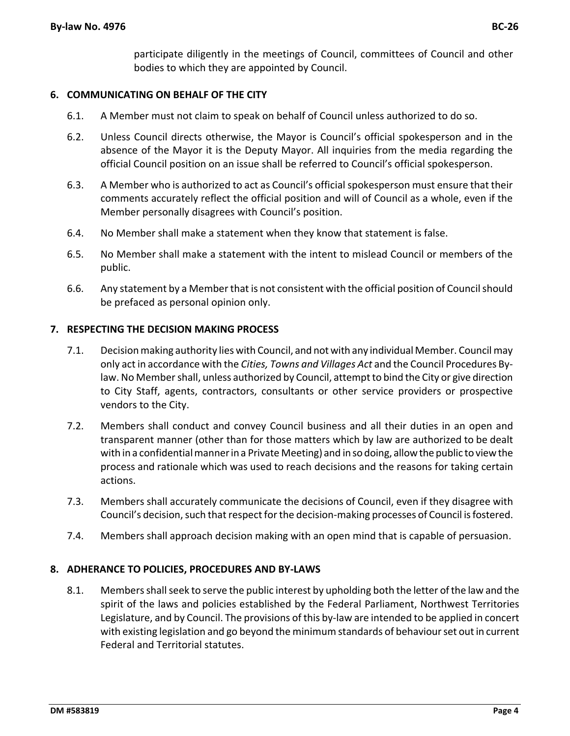participate diligently in the meetings of Council, committees of Council and other bodies to which they are appointed by Council.

### **6. COMMUNICATING ON BEHALF OF THE CITY**

- 6.1. A Member must not claim to speak on behalf of Council unless authorized to do so.
- 6.2. Unless Council directs otherwise, the Mayor is Council's official spokesperson and in the absence of the Mayor it is the Deputy Mayor. All inquiries from the media regarding the official Council position on an issue shall be referred to Council's official spokesperson.
- 6.3. A Member who is authorized to act as Council's official spokesperson must ensure that their comments accurately reflect the official position and will of Council as a whole, even if the Member personally disagrees with Council's position.
- 6.4. No Member shall make a statement when they know that statement is false.
- 6.5. No Member shall make a statement with the intent to mislead Council or members of the public.
- 6.6. Any statement by a Member that is not consistent with the official position of Council should be prefaced as personal opinion only.

#### **7. RESPECTING THE DECISION MAKING PROCESS**

- 7.1. Decisionmaking authority lies with Council, and notwith any individual Member. Council may only act in accordance with the *Cities, Towns and Villages Act* and the Council Procedures Bylaw. No Member shall, unless authorized by Council, attempt to bind the City or give direction to City Staff, agents, contractors, consultants or other service providers or prospective vendors to the City.
- 7.2. Members shall conduct and convey Council business and all their duties in an open and transparent manner (other than for those matters which by law are authorized to be dealt with in a confidential manner in a Private Meeting) and in so doing, allow the public to view the process and rationale which was used to reach decisions and the reasons for taking certain actions.
- 7.3. Members shall accurately communicate the decisions of Council, even if they disagree with Council's decision, such that respect for the decision-making processes of Council isfostered.
- 7.4. Members shall approach decision making with an open mind that is capable of persuasion.

#### **8. ADHERANCE TO POLICIES, PROCEDURES AND BY-LAWS**

8.1. Members shall seek to serve the public interest by upholding both the letter of the law and the spirit of the laws and policies established by the Federal Parliament, Northwest Territories Legislature, and by Council. The provisions of this by-law are intended to be applied in concert with existing legislation and go beyond the minimum standards of behaviour set out in current Federal and Territorial statutes.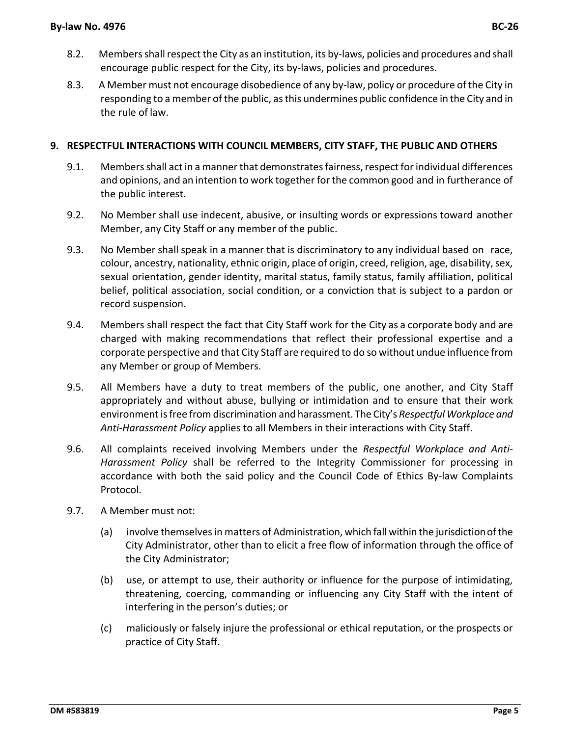- 8.2. Members shall respect the City as an institution, its by-laws, policies and procedures and shall encourage public respect for the City, its by-laws, policies and procedures.
- 8.3. A Member must not encourage disobedience of any by-law, policy or procedure of the City in responding to a member of the public, as this undermines public confidence in the City and in the rule of law.

## **9. RESPECTFUL INTERACTIONS WITH COUNCIL MEMBERS, CITY STAFF, THE PUBLIC AND OTHERS**

- 9.1. Members shall act in a manner that demonstrates fairness, respect for individual differences and opinions, and an intention to work together for the common good and in furtherance of the public interest.
- 9.2. No Member shall use indecent, abusive, or insulting words or expressions toward another Member, any City Staff or any member of the public.
- 9.3. No Member shall speak in a manner that is discriminatory to any individual based on race, colour, ancestry, nationality, ethnic origin, place of origin, creed, religion, age, disability, sex, sexual orientation, gender identity, marital status, family status, family affiliation, political belief, political association, social condition, or a conviction that is subject to a pardon or record suspension.
- 9.4. Members shall respect the fact that City Staff work for the City as a corporate body and are charged with making recommendations that reflect their professional expertise and a corporate perspective and that City Staff are required to do so without undue influence from any Member or group of Members.
- 9.5. All Members have a duty to treat members of the public, one another, and City Staff appropriately and without abuse, bullying or intimidation and to ensure that their work environment is free from discrimination and harassment. The City's *Respectful Workplace and Anti-Harassment Policy* applies to all Members in their interactions with City Staff.
- 9.6. All complaints received involving Members under the *Respectful Workplace and Anti-Harassment Policy* shall be referred to the Integrity Commissioner for processing in accordance with both the said policy and the Council Code of Ethics By-law Complaints Protocol.
- 9.7. A Member must not:
	- (a) involve themselves in matters of Administration, which fall within the jurisdictionof the City Administrator, other than to elicit a free flow of information through the office of the City Administrator;
	- (b) use, or attempt to use, their authority or influence for the purpose of intimidating, threatening, coercing, commanding or influencing any City Staff with the intent of interfering in the person's duties; or
	- (c) maliciously or falsely injure the professional or ethical reputation, or the prospects or practice of City Staff.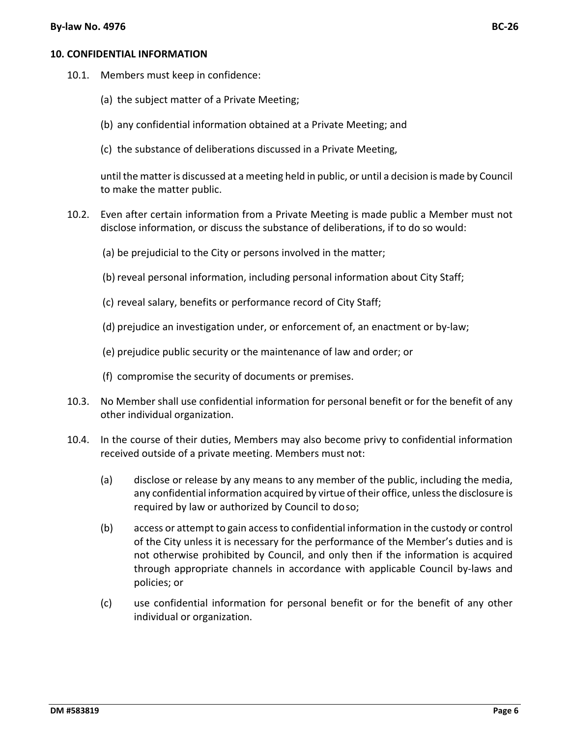#### **By-law No. 4976 BC-26**

#### **10. CONFIDENTIAL INFORMATION**

- 10.1. Members must keep in confidence:
	- (a) the subject matter of a Private Meeting;
	- (b) any confidential information obtained at a Private Meeting; and
	- (c) the substance of deliberations discussed in a Private Meeting,

until the matter is discussed at a meeting held in public, or until a decision is made by Council to make the matter public.

- 10.2. Even after certain information from a Private Meeting is made public a Member must not disclose information, or discuss the substance of deliberations, if to do so would:
	- (a) be prejudicial to the City or persons involved in the matter;
	- (b) reveal personal information, including personal information about City Staff;
	- (c) reveal salary, benefits or performance record of City Staff;
	- (d) prejudice an investigation under, or enforcement of, an enactment or by-law;
	- (e) prejudice public security or the maintenance of law and order; or
	- (f) compromise the security of documents or premises.
- 10.3. No Member shall use confidential information for personal benefit or for the benefit of any other individual organization.
- 10.4. In the course of their duties, Members may also become privy to confidential information received outside of a private meeting. Members must not:
	- (a) disclose or release by any means to any member of the public, including the media, any confidential information acquired by virtue of their office, unless the disclosure is required by law or authorized by Council to doso;
	- (b) access or attempt to gain access to confidential information in the custody or control of the City unless it is necessary for the performance of the Member's duties and is not otherwise prohibited by Council, and only then if the information is acquired through appropriate channels in accordance with applicable Council by-laws and policies; or
	- (c) use confidential information for personal benefit or for the benefit of any other individual or organization.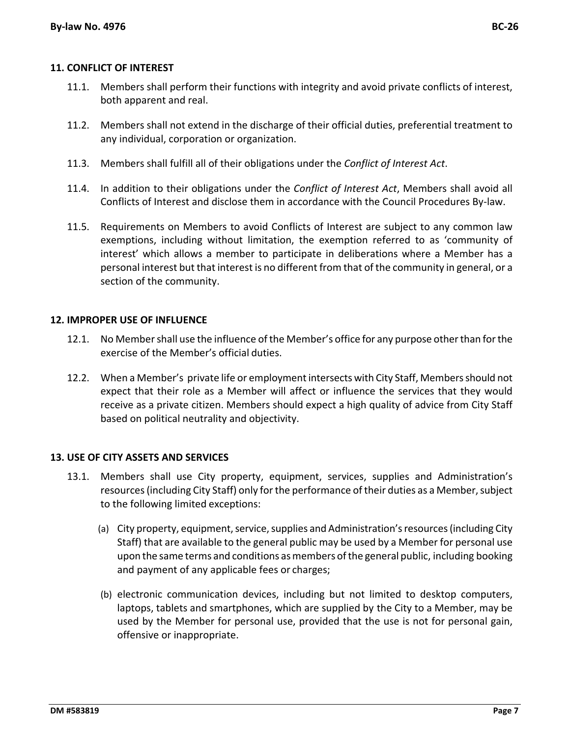#### **11. CONFLICT OF INTEREST**

- 11.1. Members shall perform their functions with integrity and avoid private conflicts of interest, both apparent and real.
- 11.2. Members shall not extend in the discharge of their official duties, preferential treatment to any individual, corporation or organization.
- 11.3. Members shall fulfill all of their obligations under the *Conflict of Interest Act*.
- 11.4. In addition to their obligations under the *Conflict of Interest Act*, Members shall avoid all Conflicts of Interest and disclose them in accordance with the Council Procedures By-law.
- 11.5. Requirements on Members to avoid Conflicts of Interest are subject to any common law exemptions, including without limitation, the exemption referred to as 'community of interest' which allows a member to participate in deliberations where a Member has a personal interest but that interest is no different from that of the community in general, or a section of the community.

#### **12. IMPROPER USE OF INFLUENCE**

- 12.1. No Member shall use the influence of the Member's office for any purpose other than for the exercise of the Member's official duties.
- 12.2. When a Member's private life or employment intersects with City Staff, Members should not expect that their role as a Member will affect or influence the services that they would receive as a private citizen. Members should expect a high quality of advice from City Staff based on political neutrality and objectivity.

#### **13. USE OF CITY ASSETS AND SERVICES**

- 13.1. Members shall use City property, equipment, services, supplies and Administration's resources(including City Staff) only for the performance of their duties as a Member, subject to the following limited exceptions:
	- (a) City property, equipment, service, supplies and Administration's resources(including City Staff) that are available to the general public may be used by a Member for personal use upon the same terms and conditions as members of the general public, including booking and payment of any applicable fees or charges;
	- (b) electronic communication devices, including but not limited to desktop computers, laptops, tablets and smartphones, which are supplied by the City to a Member, may be used by the Member for personal use, provided that the use is not for personal gain, offensive or inappropriate.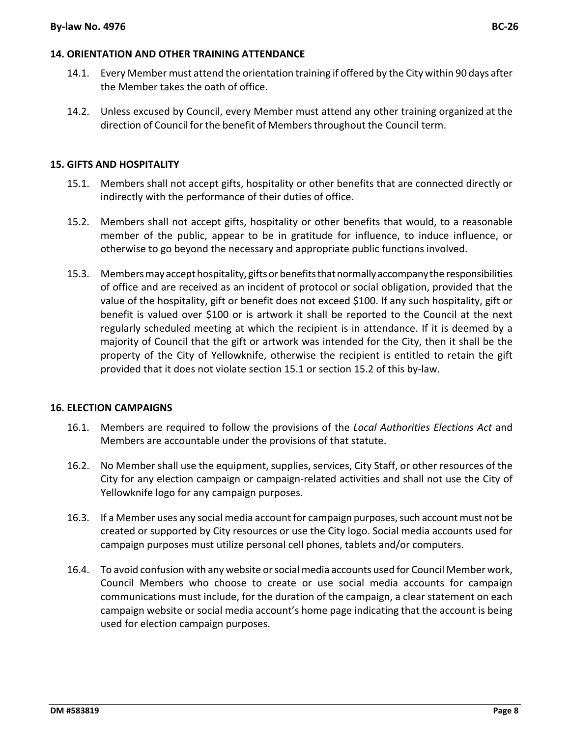#### **14. ORIENTATION AND OTHER TRAINING ATTENDANCE**

- 14.1. Every Member must attend the orientation training if offered by the City within 90 days after the Member takes the oath of office.
- 14.2. Unless excused by Council, every Member must attend any other training organized at the direction of Council for the benefit of Membersthroughout the Council term.

#### <span id="page-8-0"></span>**15. GIFTS AND HOSPITALITY**

- 15.1. Members shall not accept gifts, hospitality or other benefits that are connected directly or indirectly with the performance of their duties of office.
- <span id="page-8-1"></span>15.2. Members shall not accept gifts, hospitality or other benefits that would, to a reasonable member of the public, appear to be in gratitude for influence, to induce influence, or otherwise to go beyond the necessary and appropriate public functions involved.
- 15.3. Members may accept hospitality, gifts or benefits that normally accompany the responsibilities of office and are received as an incident of protocol or social obligation, provided that the value of the hospitality, gift or benefit does not exceed \$100. If any such hospitality, gift or benefit is valued over \$100 or is artwork it shall be reported to the Council at the next regularly scheduled meeting at which the recipient is in attendance. If it is deemed by a majority of Council that the gift or artwork was intended for the City, then it shall be the property of the City of Yellowknife, otherwise the recipient is entitled to retain the gift provided that it does not violate section [15.1](#page-8-0) or section [15.2](#page-8-1) of this by-law.

## **16. ELECTION CAMPAIGNS**

- 16.1. Members are required to follow the provisions of the *Local Authorities Elections Act* and Members are accountable under the provisions of that statute.
- 16.2. No Member shall use the equipment, supplies, services, City Staff, or other resources of the City for any election campaign or campaign-related activities and shall not use the City of Yellowknife logo for any campaign purposes.
- 16.3. If a Member uses any social media account for campaign purposes, such account must not be created or supported by City resources or use the City logo. Social media accounts used for campaign purposes must utilize personal cell phones, tablets and/or computers.
- 16.4. To avoid confusion with any website or social media accounts used for Council Member work, Council Members who choose to create or use social media accounts for campaign communications must include, for the duration of the campaign, a clear statement on each campaign website or social media account's home page indicating that the account is being used for election campaign purposes.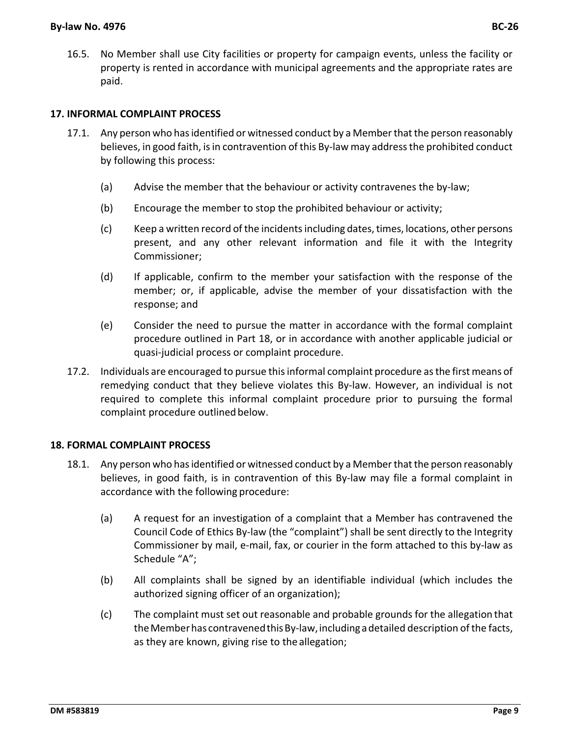16.5. No Member shall use City facilities or property for campaign events, unless the facility or property is rented in accordance with municipal agreements and the appropriate rates are paid.

## **17. INFORMAL COMPLAINT PROCESS**

- 17.1. Any person who has identified or witnessed conduct by a Member that the person reasonably believes, in good faith, is in contravention of this By-law may address the prohibited conduct by following this process:
	- (a) Advise the member that the behaviour or activity contravenes the by-law;
	- (b) Encourage the member to stop the prohibited behaviour or activity;
	- (c) Keep a written record of the incidents including dates, times, locations, other persons present, and any other relevant information and file it with the Integrity Commissioner;
	- (d) If applicable, confirm to the member your satisfaction with the response of the member; or, if applicable, advise the member of your dissatisfaction with the response; and
	- (e) Consider the need to pursue the matter in accordance with the formal complaint procedure outlined in Part 18, or in accordance with another applicable judicial or quasi-judicial process or complaint procedure.
- 17.2. Individuals are encouraged to pursue this informal complaint procedure as the first means of remedying conduct that they believe violates this By-law. However, an individual is not required to complete this informal complaint procedure prior to pursuing the formal complaint procedure outlined below.

## **18. FORMAL COMPLAINT PROCESS**

- 18.1. Any person who has identified or witnessed conduct by a Member that the person reasonably believes, in good faith, is in contravention of this By-law may file a formal complaint in accordance with the following procedure:
	- (a) A request for an investigation of a complaint that a Member has contravened the Council Code of Ethics By-law (the "complaint") shall be sent directly to the Integrity Commissioner by mail, e-mail, fax, or courier in the form attached to this by-law as Schedule "A";
	- (b) All complaints shall be signed by an identifiable individual (which includes the authorized signing officer of an organization);
	- (c) The complaint must set out reasonable and probable grounds for the allegation that the Member has contravened this By-law, including a detailed description of the facts, as they are known, giving rise to the allegation;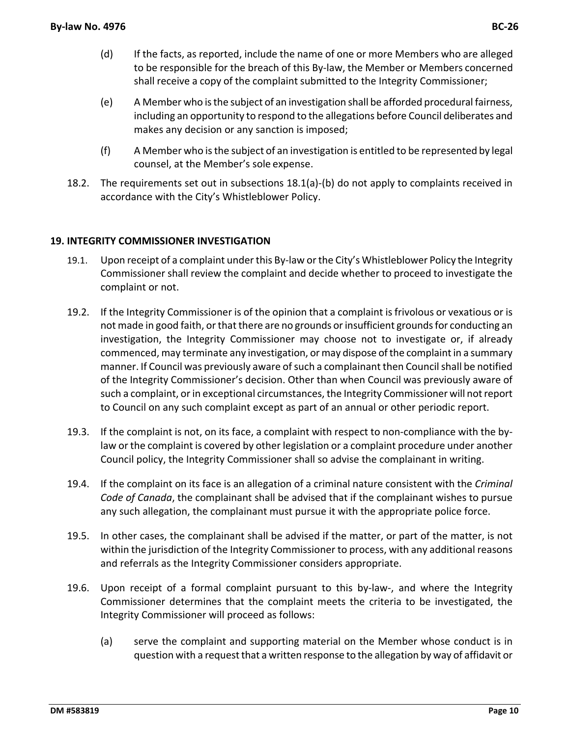- (d) If the facts, as reported, include the name of one or more Members who are alleged to be responsible for the breach of this By-law, the Member or Members concerned shall receive a copy of the complaint submitted to the Integrity Commissioner;
- (e) A Member who is the subject of an investigation shall be afforded procedural fairness, including an opportunity to respond to the allegations before Council deliberates and makes any decision or any sanction is imposed;
- (f) A Member who is the subject of an investigation is entitled to be represented by legal counsel, at the Member's sole expense.
- 18.2. The requirements set out in subsections 18.1(a)-(b) do not apply to complaints received in accordance with the City's Whistleblower Policy.

## **19. INTEGRITY COMMISSIONER INVESTIGATION**

- 19.1. Upon receipt of a complaint under this By-law or the City's Whistleblower Policy the Integrity Commissioner shall review the complaint and decide whether to proceed to investigate the complaint or not.
- 19.2. If the Integrity Commissioner is of the opinion that a complaint is frivolous or vexatious or is not made in good faith, or that there are no grounds or insufficient grounds for conducting an investigation, the Integrity Commissioner may choose not to investigate or, if already commenced, may terminate any investigation, or may dispose of the complaint in a summary manner. If Council was previously aware of such a complainant then Council shall be notified of the Integrity Commissioner's decision. Other than when Council was previously aware of such a complaint, or in exceptional circumstances, the Integrity Commissioner will not report to Council on any such complaint except as part of an annual or other periodic report.
- 19.3. If the complaint is not, on its face, a complaint with respect to non-compliance with the bylaw or the complaint is covered by other legislation or a complaint procedure under another Council policy, the Integrity Commissioner shall so advise the complainant in writing.
- 19.4. If the complaint on its face is an allegation of a criminal nature consistent with the *Criminal Code of Canada*, the complainant shall be advised that if the complainant wishes to pursue any such allegation, the complainant must pursue it with the appropriate police force.
- 19.5. In other cases, the complainant shall be advised if the matter, or part of the matter, is not within the jurisdiction of the Integrity Commissioner to process, with any additional reasons and referrals as the Integrity Commissioner considers appropriate.
- 19.6. Upon receipt of a formal complaint pursuant to this by-law-, and where the Integrity Commissioner determines that the complaint meets the criteria to be investigated, the Integrity Commissioner will proceed as follows:
	- (a) serve the complaint and supporting material on the Member whose conduct is in question with a request that a written response to the allegation by way of affidavit or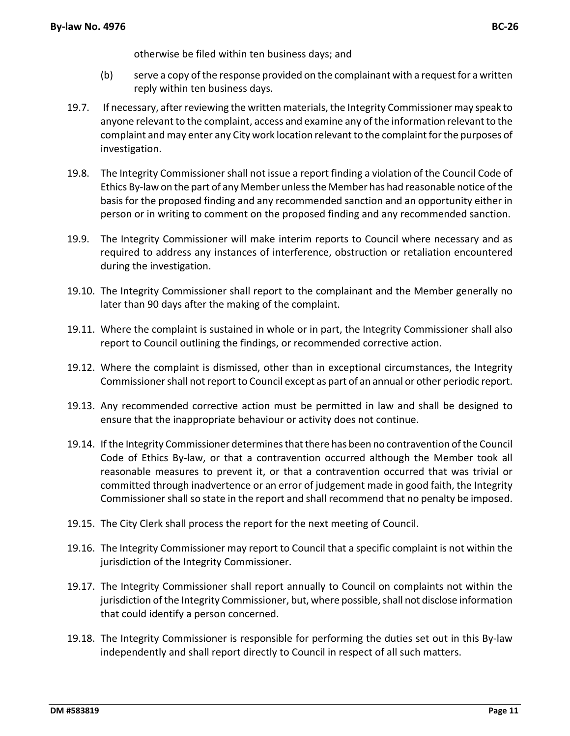otherwise be filed within ten business days; and

- (b) serve a copy of the response provided on the complainant with a request for a written reply within ten business days.
- 19.7. If necessary, after reviewing the written materials, the Integrity Commissioner may speak to anyone relevant to the complaint, access and examine any of the information relevant to the complaint and may enter any City work location relevant to the complaint for the purposes of investigation.
- 19.8. The Integrity Commissioner shall not issue a report finding a violation of the Council Code of Ethics By-law on the part of any Member unless the Member has had reasonable notice of the basis for the proposed finding and any recommended sanction and an opportunity either in person or in writing to comment on the proposed finding and any recommended sanction.
- 19.9. The Integrity Commissioner will make interim reports to Council where necessary and as required to address any instances of interference, obstruction or retaliation encountered during the investigation.
- 19.10. The Integrity Commissioner shall report to the complainant and the Member generally no later than 90 days after the making of the complaint.
- 19.11. Where the complaint is sustained in whole or in part, the Integrity Commissioner shall also report to Council outlining the findings, or recommended corrective action.
- 19.12. Where the complaint is dismissed, other than in exceptional circumstances, the Integrity Commissioner shall not report to Council except as part of an annual or other periodic report.
- 19.13. Any recommended corrective action must be permitted in law and shall be designed to ensure that the inappropriate behaviour or activity does not continue.
- 19.14. If the Integrity Commissioner determines that there has been no contravention of the Council Code of Ethics By-law, or that a contravention occurred although the Member took all reasonable measures to prevent it, or that a contravention occurred that was trivial or committed through inadvertence or an error of judgement made in good faith, the Integrity Commissioner shall so state in the report and shall recommend that no penalty be imposed.
- 19.15. The City Clerk shall process the report for the next meeting of Council.
- 19.16. The Integrity Commissioner may report to Council that a specific complaint is not within the jurisdiction of the Integrity Commissioner.
- 19.17. The Integrity Commissioner shall report annually to Council on complaints not within the jurisdiction of the Integrity Commissioner, but, where possible, shall not disclose information that could identify a person concerned.
- 19.18. The Integrity Commissioner is responsible for performing the duties set out in this By-law independently and shall report directly to Council in respect of all such matters.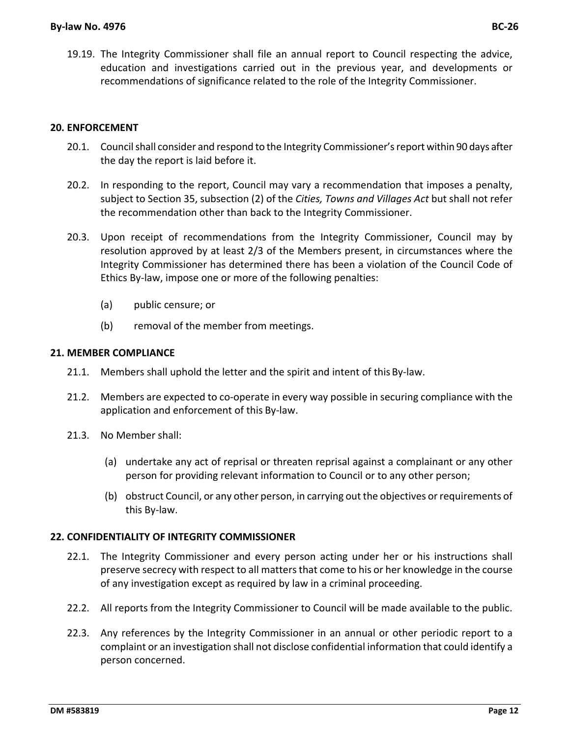19.19. The Integrity Commissioner shall file an annual report to Council respecting the advice, education and investigations carried out in the previous year, and developments or recommendations of significance related to the role of the Integrity Commissioner.

#### **20. ENFORCEMENT**

- 20.1. Council shall consider and respond to the Integrity Commissioner's report within 90 days after the day the report is laid before it.
- 20.2. In responding to the report, Council may vary a recommendation that imposes a penalty, subject to Section 35, subsection (2) of the *Cities, Towns and Villages Act* but shall not refer the recommendation other than back to the Integrity Commissioner.
- 20.3. Upon receipt of recommendations from the Integrity Commissioner, Council may by resolution approved by at least 2/3 of the Members present, in circumstances where the Integrity Commissioner has determined there has been a violation of the Council Code of Ethics By-law, impose one or more of the following penalties:
	- (a) public censure; or
	- (b) removal of the member from meetings.

#### **21. MEMBER COMPLIANCE**

- 21.1. Members shall uphold the letter and the spirit and intent of thisBy-law.
- 21.2. Members are expected to co-operate in every way possible in securing compliance with the application and enforcement of this By-law.
- 21.3. No Member shall:
	- (a) undertake any act of reprisal or threaten reprisal against a complainant or any other person for providing relevant information to Council or to any other person;
	- (b) obstruct Council, or any other person, in carrying out the objectives or requirements of this By-law.

#### **22. CONFIDENTIALITY OF INTEGRITY COMMISSIONER**

- 22.1. The Integrity Commissioner and every person acting under her or his instructions shall preserve secrecy with respect to all matters that come to his or her knowledge in the course of any investigation except as required by law in a criminal proceeding.
- 22.2. All reports from the Integrity Commissioner to Council will be made available to the public.
- 22.3. Any references by the Integrity Commissioner in an annual or other periodic report to a complaint or an investigation shall not disclose confidential information that could identify a person concerned.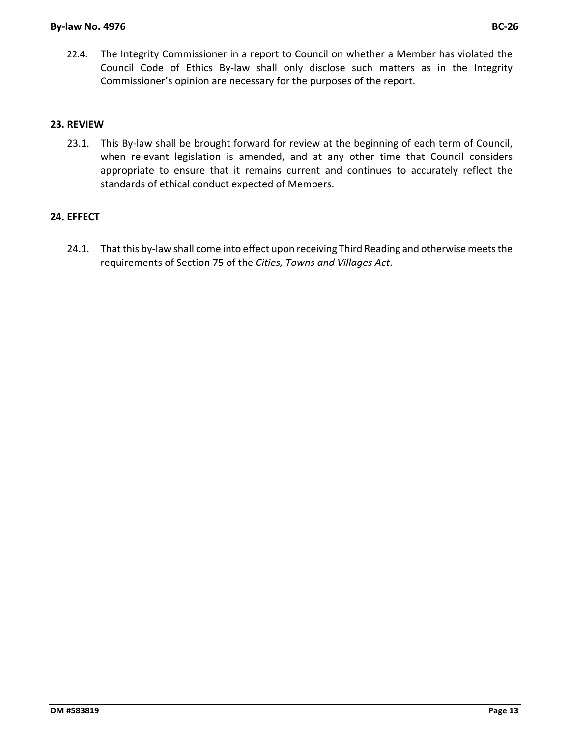22.4. The Integrity Commissioner in a report to Council on whether a Member has violated the Council Code of Ethics By-law shall only disclose such matters as in the Integrity Commissioner's opinion are necessary for the purposes of the report.

## **23. REVIEW**

23.1. This By-law shall be brought forward for review at the beginning of each term of Council, when relevant legislation is amended, and at any other time that Council considers appropriate to ensure that it remains current and continues to accurately reflect the standards of ethical conduct expected of Members.

## **24. EFFECT**

24.1. That this by-law shall come into effect upon receiving Third Reading and otherwise meets the requirements of Section 75 of the *Cities, Towns and Villages Act*.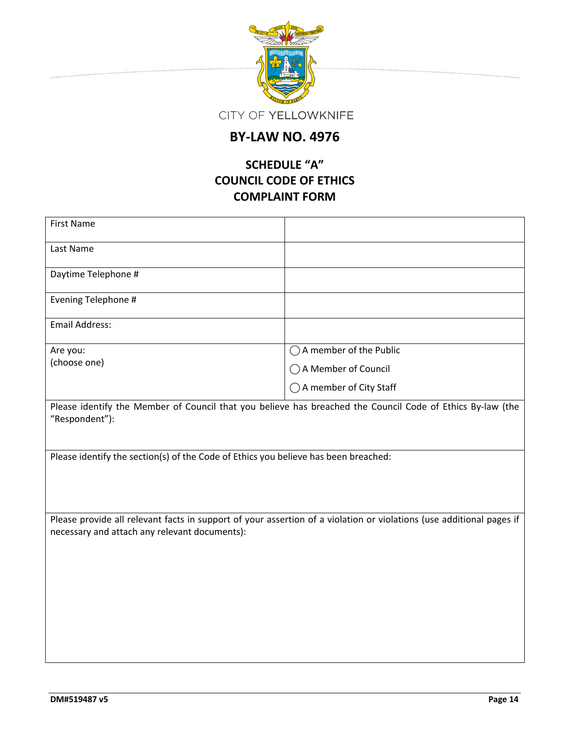

## **BY-LAW NO. 4976**

## **SCHEDULE "A" COUNCIL CODE OF ETHICS COMPLAINT FORM**

| <b>First Name</b>                                                                                                                                                     |                          |  |  |
|-----------------------------------------------------------------------------------------------------------------------------------------------------------------------|--------------------------|--|--|
| Last Name                                                                                                                                                             |                          |  |  |
| Daytime Telephone #                                                                                                                                                   |                          |  |  |
| Evening Telephone #                                                                                                                                                   |                          |  |  |
| <b>Email Address:</b>                                                                                                                                                 |                          |  |  |
| Are you:                                                                                                                                                              | ○ A member of the Public |  |  |
| (choose one)                                                                                                                                                          | ○ A Member of Council    |  |  |
|                                                                                                                                                                       | ◯ A member of City Staff |  |  |
| Please identify the Member of Council that you believe has breached the Council Code of Ethics By-law (the<br>"Respondent"):                                          |                          |  |  |
| Please identify the section(s) of the Code of Ethics you believe has been breached:                                                                                   |                          |  |  |
| Please provide all relevant facts in support of your assertion of a violation or violations (use additional pages if<br>necessary and attach any relevant documents): |                          |  |  |
|                                                                                                                                                                       |                          |  |  |
|                                                                                                                                                                       |                          |  |  |
|                                                                                                                                                                       |                          |  |  |
|                                                                                                                                                                       |                          |  |  |
|                                                                                                                                                                       |                          |  |  |

. . . . . . . . . . . . . . . . . . . .